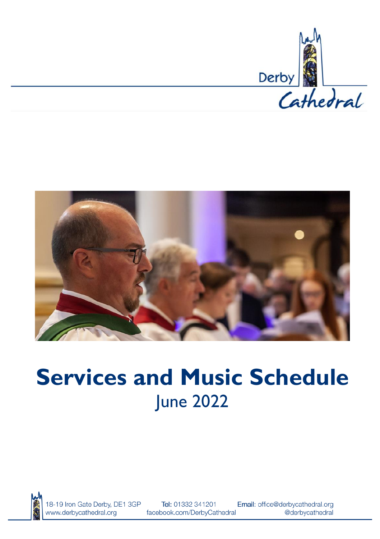



# **Services and Music Schedule** June 2022



18-19 Iron Gate Derby, DE1 3GP www.derbycathedral.org

Tel: 01332 341201 facebook.com/DerbyCathedral

Email: office@derbycathedral.org @derbycathedral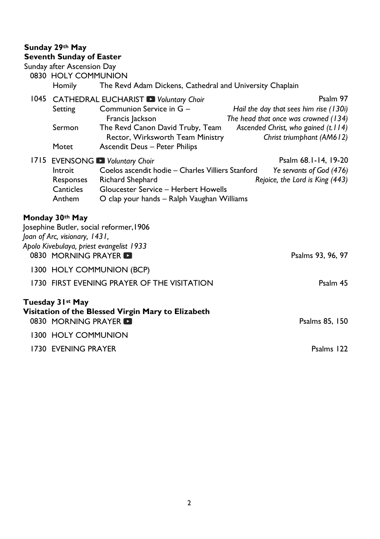# **Sunday 29th May**

| <b>Seventh Sunday of Easter</b>                   |                                                                                    |                                                                                |
|---------------------------------------------------|------------------------------------------------------------------------------------|--------------------------------------------------------------------------------|
| Sunday after Ascension Day<br>0830 HOLY COMMUNION |                                                                                    |                                                                                |
| Homily                                            | The Revd Adam Dickens, Cathedral and University Chaplain                           |                                                                                |
|                                                   | 1045 CATHEDRAL EUCHARIST D Voluntary Choir                                         | Psalm 97                                                                       |
| Setting                                           | Communion Service in G -<br>Francis Jackson                                        | Hail the day that sees him rise (130i)<br>The head that once was crowned (134) |
| Sermon                                            | The Revd Canon David Truby, Team<br>Rector, Wirksworth Team Ministry               | Ascended Christ, who gained (t.114)<br>Christ triumphant (AM612)               |
| Motet                                             | Ascendit Deus - Peter Philips                                                      |                                                                                |
|                                                   | 1715 EVENSONG Voluntary Choir                                                      | Psalm 68.1-14, 19-20                                                           |
| Introit                                           | Coelos ascendit hodie – Charles Villiers Stanford                                  | Ye servants of God (476)                                                       |
| Responses                                         | Richard Shephard                                                                   | Rejoice, the Lord is King (443)                                                |
| Canticles<br>Anthem                               | Gloucester Service - Herbert Howells<br>O clap your hands - Ralph Vaughan Williams |                                                                                |
|                                                   |                                                                                    |                                                                                |
| Monday 30th May                                   |                                                                                    |                                                                                |
|                                                   | Josephine Butler, social reformer, 1906                                            |                                                                                |
| Joan of Arc, visionary, 1431,                     | Apolo Kivebulaya, priest evangelist 1933                                           |                                                                                |
| 0830 MORNING PRAYER                               |                                                                                    | Psalms 93, 96, 97                                                              |
|                                                   | 1300 HOLY COMMUNION (BCP)                                                          |                                                                                |
|                                                   | 1730 FIRST EVENING PRAYER OF THE VISITATION                                        | Psalm 45                                                                       |
|                                                   |                                                                                    |                                                                                |
| Tuesday 3 Ist May                                 |                                                                                    |                                                                                |
| 0830 MORNING PRAYER                               | Visitation of the Blessed Virgin Mary to Elizabeth                                 | Psalms 85, 150                                                                 |
|                                                   |                                                                                    |                                                                                |
| 1300 HOLY COMMUNION                               |                                                                                    |                                                                                |
| 1730 EVENING PRAYER                               |                                                                                    | Psalms 122                                                                     |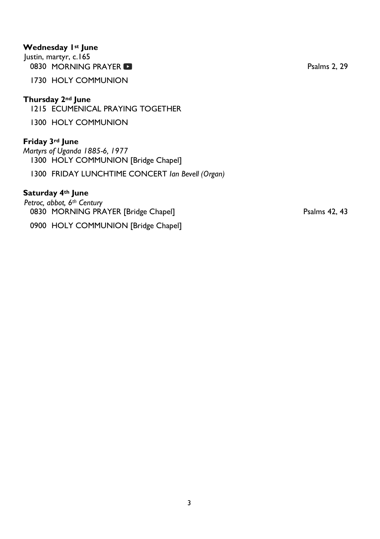# **Wednesday 1st June**

Justin, martyr, c.165 0830MORNING PRAYER **Participal Control** 2, 29 Psalms 2, 29

1730 HOLY COMMUNION

#### **Thursday 2nd June**

1215 ECUMENICAL PRAYING TOGETHER

1300 HOLY COMMUNION

# **Friday 3rd June**

*Martyrs of Uganda 1885-6, 1977* 1300 HOLY COMMUNION [Bridge Chapel]

1300 FRIDAY LUNCHTIME CONCERT *Ian Bevell (Organ)*

#### **Saturday 4th June**

*Petroc, abbot, 6th Century*  0830 MORNING PRAYER [Bridge Chapel] Psalms 42, 43

0900 HOLY COMMUNION [Bridge Chapel]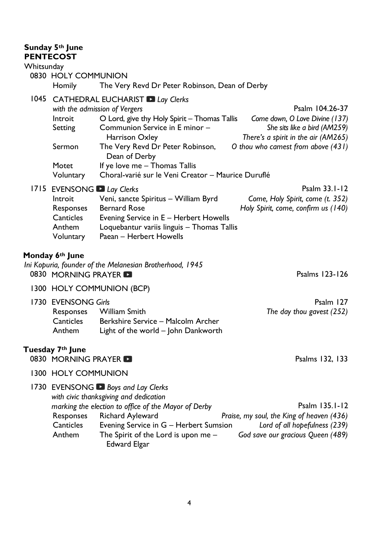# **Sunday 5th June PENTECOST**

#### **Whitsunday**

# 0830 HOLY COMMUNION Homily The Very Revd Dr Peter Robinson, Dean of Derby

#### 1045 CATHEDRAL EUCHARIST *Lay Clerks with the admission of Vergers*<br>Introit **Duard, give thy Holy Spirit – Thomas Tallis** *Come down, O Love Divine (137)* Introit **O Lord, give thy Holy Spirit – Thomas Tallis**

Setting Communion Service in E minor – Harrison Oxley *She sits like a bird (AM259) There's a spirit in the air (AM265)* Sermon The Very Revd Dr Peter Robinson, Dean of Derby *O thou who camest from above (431)* Motet If ye love me – Thomas Tallis Voluntary Choral-varié sur le Veni Creator – Maurice Duruflé

# 1715 EVENSONG *Lay Clerks* Psalm 33.1-12

| LYLINGURG WEINS |                                            | .                                   |
|-----------------|--------------------------------------------|-------------------------------------|
| Introit         | Veni, sancte Spiritus – William Byrd       | Come, Holy Spirit, come (t. 352)    |
| Responses       | Bernard Rose                               | Holy Spirit, come, confirm us (140) |
| Canticles       | Evening Service in E - Herbert Howells     |                                     |
| Anthem          | Loquebantur variis linguis – Thomas Tallis |                                     |
| Voluntary       | Paean – Herbert Howells                    |                                     |
|                 |                                            |                                     |

# **Monday 6th June**

*Ini Kopuria, founder of the Melanesian Brotherhood, 1945*  0830 MORNING PRAYER **Participal Control** Control of the Psalms 123-126

1300 HOLY COMMUNION (BCP)

| 1730 EVENSONG Girls |                                     | Psalm 127                 |
|---------------------|-------------------------------------|---------------------------|
|                     | Responses William Smith             | The day thou gavest (252) |
| Canticles           | Berkshire Service – Malcolm Archer  |                           |
| Anthem              | Light of the world – John Dankworth |                           |

# **Tuesday 7th June**

- 0830 MORNING PRAYER **Participal Studies and Security Contracts** Psalms 132, 133
- 1300 HOLY COMMUNION

#### 1730 EVENSONG *Boys and Lay Clerks*

*with civic thanksgiving and dedication*

|               | marking the election to office of the Mayor of Derby | Psalm 135.1-12                            |
|---------------|------------------------------------------------------|-------------------------------------------|
| Responses     | Richard Ayleward                                     | Praise, my soul, the King of heaven (436) |
| Canticles     | Evening Service in G - Herbert Sumsion               | Lord of all hopefulness (239)             |
| <b>Anthem</b> | The Spirit of the Lord is upon me $-$                | God save our gracious Queen (489)         |
|               | Edward Elgar                                         |                                           |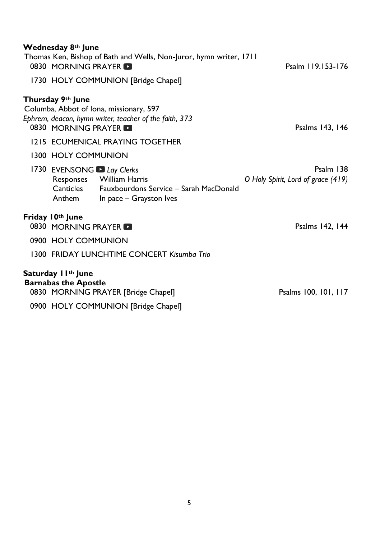| Wednesday 8th June<br>0830 MORNING PRAYER                                                    | Thomas Ken, Bishop of Bath and Wells, Non-Juror, hymn writer, 1711<br>1730 HOLY COMMUNION [Bridge Chapel] | Psalm 119.153-176                                 |  |
|----------------------------------------------------------------------------------------------|-----------------------------------------------------------------------------------------------------------|---------------------------------------------------|--|
| Thursday 9th June<br>Columba, Abbot of Iona, missionary, 597<br>0830 MORNING PRAYER <b>D</b> | Ephrem, deacon, hymn writer, teacher of the faith, 373                                                    | Psalms 143, 146                                   |  |
|                                                                                              | 1215 ECUMENICAL PRAYING TOGETHER                                                                          |                                                   |  |
| 1300 HOLY COMMUNION                                                                          |                                                                                                           |                                                   |  |
| 1730 EVENSONG Lay Clerks<br>Responses William Harris<br>Anthem                               | Canticles Fauxbourdons Service - Sarah MacDonald<br>In pace - Grayston Ives                               | Psalm $138$<br>O Holy Spirit, Lord of grace (419) |  |
| Friday 10th June<br>0830 MORNING PRAYER                                                      |                                                                                                           | Psalms 142, 144                                   |  |
| 0900 HOLY COMMUNION                                                                          |                                                                                                           |                                                   |  |
|                                                                                              | 1300 FRIDAY LUNCHTIME CONCERT Kisumba Trio                                                                |                                                   |  |
| Saturday I I <sup>th</sup> June<br><b>Barnabas the Apostle</b>                               | 0830 MORNING PRAYER [Bridge Chapel]                                                                       | Psalms 100, 101, 117                              |  |
| 0900 HOLY COMMUNION [Bridge Chapel]                                                          |                                                                                                           |                                                   |  |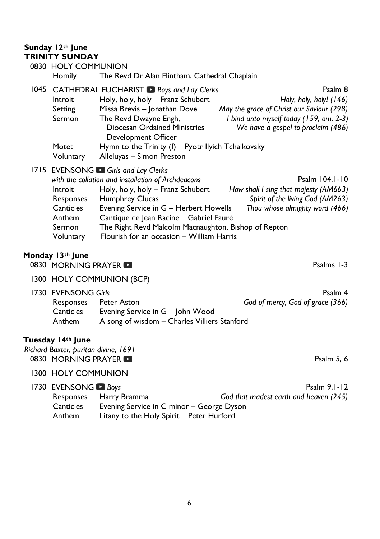# **Sunday 12th June TRINITY SUNDAY**

|      |               | 0830 HOLY COMMUNION                                  |                                           |  |
|------|---------------|------------------------------------------------------|-------------------------------------------|--|
|      | <b>Homily</b> | The Revd Dr Alan Flintham, Cathedral Chaplain        |                                           |  |
| 1045 |               | CATHEDRAL EUCHARIST ■ Boys and Lay Clerks            | Psalm 8                                   |  |
|      | Introit       | Holy, holy, holy - Franz Schubert                    | Holy, holy, holy! (146)                   |  |
|      | Setting       | Missa Brevis - Jonathan Dove                         | May the grace of Christ our Saviour (298) |  |
|      | Sermon        | The Revd Dwayne Engh,                                | I bind unto myself today (159, om. 2-3)   |  |
|      |               | Diocesan Ordained Ministries<br>Development Officer  | We have a gospel to proclaim (486)        |  |
|      | Motet         | Hymn to the Trinity (I) – Pyotr Ilyich Tchaikovsky   |                                           |  |
|      | Voluntary     | Alleluyas - Simon Preston                            |                                           |  |
|      |               | 1715 EVENSONG Girls and Lay Clerks                   |                                           |  |
|      |               | with the collation and installation of Archdeacons   | Psalm 104.1-10                            |  |
|      | Introit       | Holy, holy, holy - Franz Schubert                    | How shall I sing that majesty (AM663)     |  |
|      | Responses     | <b>Humphrey Clucas</b>                               | Spirit of the living God (AM263)          |  |
|      | Canticles     | Evening Service in G - Herbert Howells               | Thou whose almighty word (466)            |  |
|      | Anthem        | Cantique de Jean Racine - Gabriel Fauré              |                                           |  |
|      | Sermon        | The Right Revd Malcolm Macnaughton, Bishop of Repton |                                           |  |
|      | Voluntary     | Flourish for an occasion - William Harris            |                                           |  |

# **Monday 13th June**

0830MORNING PRAYER **Participal Contract Contract Contract Contract Contract Contract Contract Contract Contract Contract Contract Contract Contract Contract Contract Contract Contract Contract Contract Contract Contract C** 

1300 HOLY COMMUNION (BCP)

1730 EVENSONG *Girls* Psalm 4

| LYLI YJU I YU UIII J |                                              | і заші т                         |
|----------------------|----------------------------------------------|----------------------------------|
| Responses            | Peter Aston                                  | God of mercy, God of grace (366) |
| Canticles            | Evening Service in G - John Wood             |                                  |
| Anthem               | A song of wisdom – Charles Villiers Stanford |                                  |

# **Tuesday 14th June**

*Richard Baxter, puritan divine, 1691*  0830MORNING PRAYER **Product to the USA CONSTRUCT CONSTRUCT CONSTRUCT** Psalm 5, 6

# 1300 HOLY COMMUNION

| 1730 EVENSONG <b>D</b> Boys                            |                                           | Psalm $9.1 - 12$                       |
|--------------------------------------------------------|-------------------------------------------|----------------------------------------|
|                                                        | Responses Harry Bramma                    | God that madest earth and heaven (245) |
| Evening Service in C minor – George Dyson<br>Canticles |                                           |                                        |
| <b>Anthem</b>                                          | Litany to the Holy Spirit - Peter Hurford |                                        |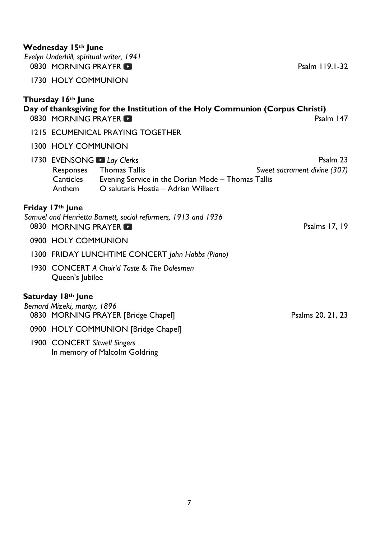#### **Wednesday 15th June**

*Evelyn Underhill, spiritual writer, 1941*  0830MORNING PRAYER PSALM 119.1-32

1730 HOLY COMMUNION

#### **Thursday 16th June**

# **Day of thanksgiving for the Institution of the Holy Communion (Corpus Christi)**<br>0830 MORNING PRAYER 0830MORNING PRAYER

- 1215 ECUMENICAL PRAYING TOGETHER
- 1300 HOLY COMMUNION
- 1730EVENSONG *Lay Clerks* **Participally** Psalm 23 Responses Thomas Tallis *Sweet sacrament divine (307)* Canticles Evening Service in the Dorian Mode – Thomas Tallis Anthem O salutaris Hostia – Adrian Willaert

# **Friday 17th June**

#### *Samuel and Henrietta Barnett, social reformers, 1913 and 1936*  0830MORNING PRAYER **Product to the set of the set of the set of the set of the set of the set of the set of the set of the set of the set of the set of the set of the set of the set of the set of the set of the set of the**

- 0900 HOLY COMMUNION
- 1300 FRIDAY LUNCHTIME CONCERT *John Hobbs (Piano)*
- 1930 CONCERT *A Choir'd Taste & The Dalesmen*  Queen's Jubilee

#### **Saturday 18th June**

*Bernard Mizeki, martyr, 1896*  0830 MORNING PRAYER [Bridge Chapel] Psalms 20, 21, 23

- 0900 HOLY COMMUNION [Bridge Chapel]
- 1900 CONCERT *Sitwell Singers* In memory of Malcolm Goldring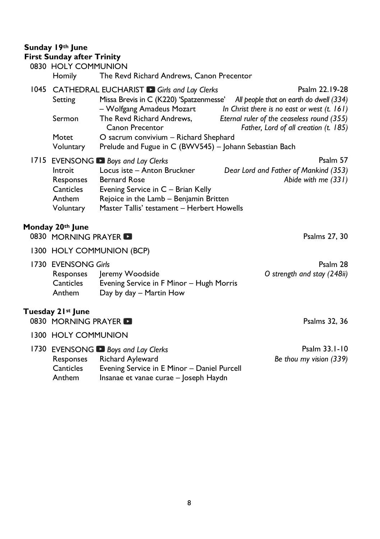# **Sunday 19th June**

| <b>First Sunday after Trinity</b>       |                                                                                 |                                                                                     |
|-----------------------------------------|---------------------------------------------------------------------------------|-------------------------------------------------------------------------------------|
| 0830 HOLY COMMUNION                     |                                                                                 |                                                                                     |
| <b>Homily</b>                           | The Revd Richard Andrews, Canon Precentor                                       |                                                                                     |
|                                         | 1045 CATHEDRAL EUCHARIST Girls and Lay Clerks                                   | Psalm 22.19-28                                                                      |
| Setting                                 | Missa Brevis in C (K220) 'Spatzenmesse' All people that on earth do dwell (334) | In Christ there is no east or west $(t. 161)$                                       |
| Sermon                                  | – Wolfgang Amadeus Mozart<br>The Revd Richard Andrews,<br>Canon Precentor       | Eternal ruler of the ceaseless round (355)<br>Father, Lord of all creation (t. 185) |
| Motet                                   | O sacrum convivium - Richard Shephard                                           |                                                                                     |
| Voluntary                               | Prelude and Fugue in C (BWV545) - Johann Sebastian Bach                         |                                                                                     |
|                                         | 1715 EVENSONG Boys and Lay Clerks                                               | Psalm 57                                                                            |
| Introit                                 | Locus iste - Anton Bruckner                                                     | Dear Lord and Father of Mankind (353)                                               |
|                                         | Responses Bernard Rose                                                          | Abide with me (331)                                                                 |
| <b>Canticles</b><br>Anthem              | Evening Service in C - Brian Kelly<br>Rejoice in the Lamb - Benjamin Britten    |                                                                                     |
| Voluntary                               | Master Tallis' testament - Herbert Howells                                      |                                                                                     |
|                                         |                                                                                 |                                                                                     |
| Monday 20th June<br>0830 MORNING PRAYER |                                                                                 | Psalms 27, 30                                                                       |
|                                         | 1300 HOLY COMMUNION (BCP)                                                       |                                                                                     |
| 1730 EVENSONG Girls                     |                                                                                 | Psalm 28                                                                            |
| Responses                               | Jeremy Woodside                                                                 | O strength and stay (248ii)                                                         |
| Canticles<br>Anthem                     | Evening Service in F Minor - Hugh Morris                                        |                                                                                     |
|                                         | Day by day - Martin How                                                         |                                                                                     |
|                                         |                                                                                 |                                                                                     |
| Tuesday 21st June                       |                                                                                 |                                                                                     |
| 0830 MORNING PRAYER                     |                                                                                 | Psalms 32, 36                                                                       |

|               | 1730 EVENSONG <b>Boys and Lay Clerks</b>    | Psalm 33.1-10           |
|---------------|---------------------------------------------|-------------------------|
|               | Responses Richard Ayleward                  | Be thou my vision (339) |
| Canticles     | Evening Service in E Minor - Daniel Purcell |                         |
| <b>Anthem</b> | Insanae et vanae curae – Joseph Haydn       |                         |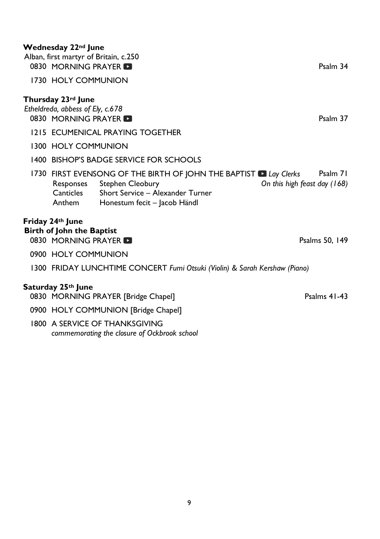# **Wednesday 22nd June**

| Alban, first martyr of Britain, c.250<br>0830 MORNING PRAYER                  |                                                                                                                                                                            | Psalm 34                                 |
|-------------------------------------------------------------------------------|----------------------------------------------------------------------------------------------------------------------------------------------------------------------------|------------------------------------------|
| 1730 HOLY COMMUNION                                                           |                                                                                                                                                                            |                                          |
| Thursday 23rd June<br>Etheldreda, abbess of Ely, c.678<br>0830 MORNING PRAYER | 1215 ECUMENICAL PRAYING TOGETHER                                                                                                                                           | Psalm 37                                 |
| 1300 HOLY COMMUNION                                                           | 1400 BISHOP'S BADGE SERVICE FOR SCHOOLS                                                                                                                                    |                                          |
| Canticles<br>Anthem                                                           | 1730 FIRST EVENSONG OF THE BIRTH OF JOHN THE BAPTIST <b>D</b> Lay Clerks<br>Responses Stephen Cleobury<br>Short Service - Alexander Turner<br>Honestum fecit - Jacob Händl | Psalm 71<br>On this high feast day (168) |
| Friday 24th June<br><b>Birth of John the Baptist</b><br>0830 MORNING PRAYER   |                                                                                                                                                                            | Psalms 50, 149                           |
| 0900 HOLY COMMUNION                                                           |                                                                                                                                                                            |                                          |
|                                                                               | 1300 FRIDAY LUNCHTIME CONCERT Fumi Otsuki (Violin) & Sarah Kershaw (Piano)                                                                                                 |                                          |
| Saturday 25th June                                                            | 0830 MORNING PRAYER [Bridge Chapel]                                                                                                                                        | Psalms $41-43$                           |
|                                                                               | 0900 HOLY COMMUNION [Bridge Chapel]                                                                                                                                        |                                          |
|                                                                               | 1800 A SERVICE OF THANKSGIVING<br>commemorating the closure of Ockbrook school                                                                                             |                                          |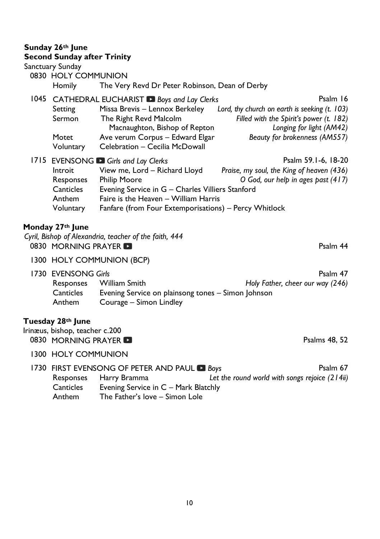# **Sunday 26th June**

# **Second Sunday after Trinity**

Sanctuary Sunday

| 0830 HOLY COMMUNION<br><b>Homily</b>                     | The Very Revd Dr Peter Robinson, Dean of Derby                                                                                                                                                                                                  |                                                                                                                                                                   |
|----------------------------------------------------------|-------------------------------------------------------------------------------------------------------------------------------------------------------------------------------------------------------------------------------------------------|-------------------------------------------------------------------------------------------------------------------------------------------------------------------|
| Setting<br>Sermon<br>Motet<br>Voluntary                  | 1045 CATHEDRAL EUCHARIST Boys and Lay Clerks<br>Missa Brevis - Lennox Berkeley<br>The Right Revd Malcolm<br>Macnaughton, Bishop of Repton<br>Ave verum Corpus - Edward Elgar<br>Celebration - Cecilia McDowall                                  | Psalm 16<br>Lord, thy church on earth is seeking (t. 103)<br>Filled with the Spirit's power (t. 182)<br>Longing for light (AM42)<br>Beauty for brokenness (AM557) |
| Introit<br>Responses<br>Canticles<br>Anthem<br>Voluntary | 1715 EVENSONG Girls and Lay Clerks<br>View me, Lord - Richard Lloyd<br><b>Philip Moore</b><br>Evening Service in G - Charles Villiers Stanford<br>Faire is the Heaven - William Harris<br>Fanfare (from Four Extemporisations) - Percy Whitlock | Psalm 59.1-6, 18-20<br>Praise, my soul, the King of heaven (436)<br>O God, our help in ages past (417)                                                            |

# **Monday 27th June**

*Cyril, Bishop of Alexandria, teacher of the faith, 444*  0830MORNING PRAYER **CONSUMING PRAYER** 1300 HOLY COMMUNION (BCP) Publishing CVENSONG Girls<br>Responses William Smith **Responses William Smith** Holy Father, cheer our way (246) Responses William Smith *Holy Father, cheer our way (246)* Canticles Evening Service on plainsong tones – Simon Johnson Courage – Simon Lindley **Tuesday 28th June** Irinæus, bishop, teacher c.200

0830 MORNING PRAYERPsalms 48, 52

1300 HOLY COMMUNION

|           |                                |                                                  | Psalm 67                                                                           |
|-----------|--------------------------------|--------------------------------------------------|------------------------------------------------------------------------------------|
|           |                                | Let the round world with songs rejoice $(214ii)$ |                                                                                    |
| Canticles |                                |                                                  |                                                                                    |
| Anthem    | The Father's love – Simon Lole |                                                  |                                                                                    |
|           |                                | Responses Harry Bramma                           | 1730 FIRST EVENSONG OF PETER AND PAUL Boys<br>Evening Service in C - Mark Blatchly |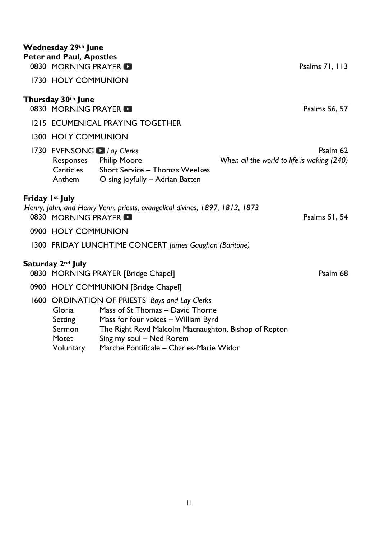|                 | Wednesday 29th June<br><b>Peter and Paul, Apostles</b><br>0830 MORNING PRAYER |                                                                                                                                                                                   | Psalms 71, 113                                         |  |
|-----------------|-------------------------------------------------------------------------------|-----------------------------------------------------------------------------------------------------------------------------------------------------------------------------------|--------------------------------------------------------|--|
|                 | 1730 HOLY COMMUNION                                                           |                                                                                                                                                                                   |                                                        |  |
|                 | Thursday 30th June<br>0830 MORNING PRAYER                                     |                                                                                                                                                                                   | Psalms 56, 57                                          |  |
|                 | 1215 ECUMENICAL PRAYING TOGETHER                                              |                                                                                                                                                                                   |                                                        |  |
|                 | 1300 HOLY COMMUNION                                                           |                                                                                                                                                                                   |                                                        |  |
|                 | 1730 EVENSONG Lay Clerks<br>Canticles<br>Anthem                               | Responses Philip Moore<br>Short Service - Thomas Weelkes<br>O sing joyfully - Adrian Batten                                                                                       | Psalm 62<br>When all the world to life is waking (240) |  |
| Friday 1st July |                                                                               |                                                                                                                                                                                   |                                                        |  |
|                 | 0830 MORNING PRAYER                                                           | Henry, John, and Henry Venn, priests, evangelical divines, 1897, 1813, 1873                                                                                                       | Psalms 51, 54                                          |  |
|                 | 0900 HOLY COMMUNION                                                           |                                                                                                                                                                                   |                                                        |  |
|                 | 1300 FRIDAY LUNCHTIME CONCERT James Gaughan (Baritone)                        |                                                                                                                                                                                   |                                                        |  |
|                 | Saturday 2nd July                                                             | 0830 MORNING PRAYER [Bridge Chapel]                                                                                                                                               | Psalm 68                                               |  |
|                 | 0900 HOLY COMMUNION [Bridge Chapel]                                           |                                                                                                                                                                                   |                                                        |  |
|                 | Gloria<br>Setting<br>Sermon                                                   | 1600 ORDINATION OF PRIESTS Boys and Lay Clerks<br>Mass of St Thomas - David Thorne<br>Mass for four voices - William Byrd<br>The Right Revd Malcolm Macnaughton, Bishop of Repton |                                                        |  |

- Motet Sing my soul Ned Rorem
- Voluntary Marche Pontificale Charles-Marie Widor